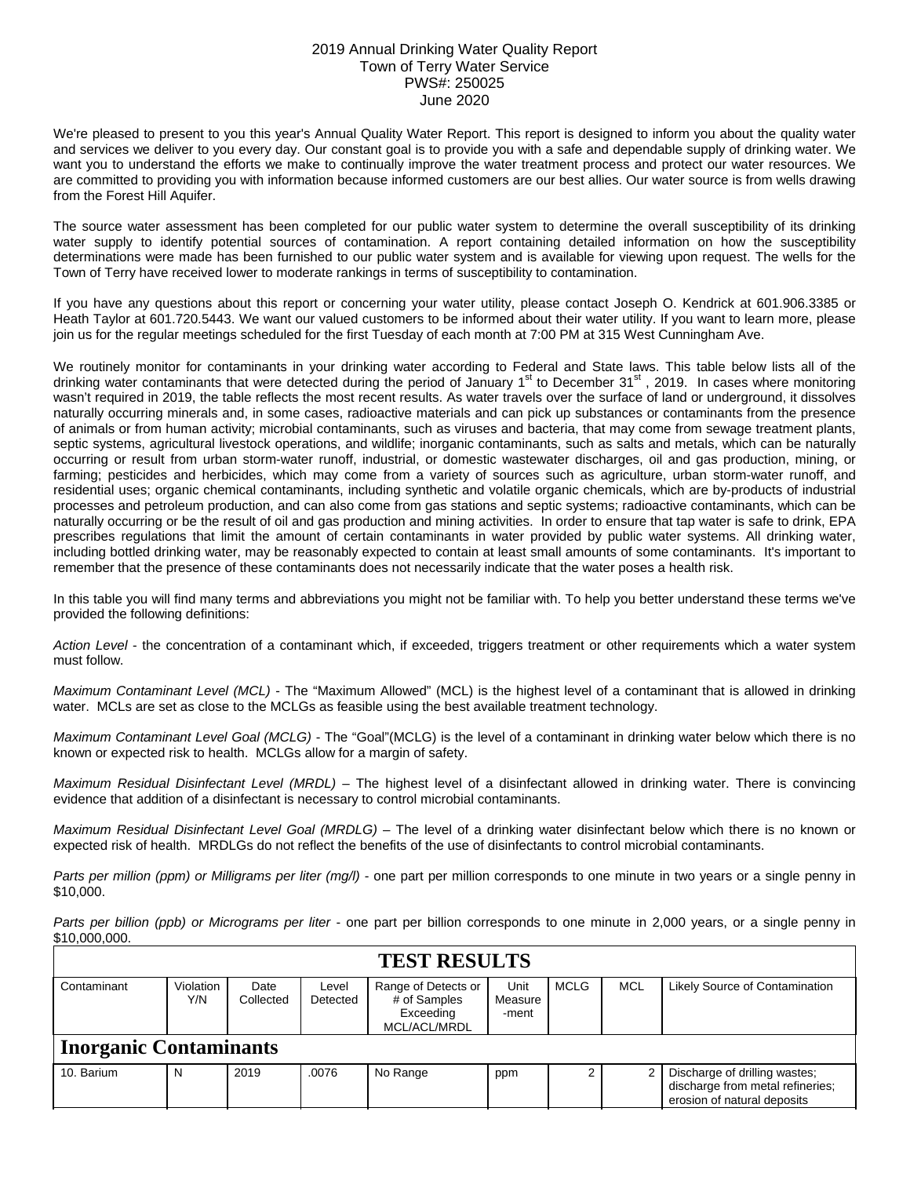## 2019 Annual Drinking Water Quality Report Town of Terry Water Service PWS#: 250025 June 2020

We're pleased to present to you this year's Annual Quality Water Report. This report is designed to inform you about the quality water and services we deliver to you every day. Our constant goal is to provide you with a safe and dependable supply of drinking water. We want you to understand the efforts we make to continually improve the water treatment process and protect our water resources. We are committed to providing you with information because informed customers are our best allies. Our water source is from wells drawing from the Forest Hill Aquifer.

The source water assessment has been completed for our public water system to determine the overall susceptibility of its drinking water supply to identify potential sources of contamination. A report containing detailed information on how the susceptibility determinations were made has been furnished to our public water system and is available for viewing upon request. The wells for the Town of Terry have received lower to moderate rankings in terms of susceptibility to contamination.

If you have any questions about this report or concerning your water utility, please contact Joseph O. Kendrick at 601.906.3385 or Heath Taylor at 601.720.5443. We want our valued customers to be informed about their water utility. If you want to learn more, please join us for the regular meetings scheduled for the first Tuesday of each month at 7:00 PM at 315 West Cunningham Ave.

We routinely monitor for contaminants in your drinking water according to Federal and State laws. This table below lists all of the drinking water contaminants that were detected during the period of January  $1<sup>st</sup>$  to December  $31<sup>st</sup>$ , 2019. In cases where monitoring wasn't required in 2019, the table reflects the most recent results. As water travels over the surface of land or underground, it dissolves naturally occurring minerals and, in some cases, radioactive materials and can pick up substances or contaminants from the presence of animals or from human activity; microbial contaminants, such as viruses and bacteria, that may come from sewage treatment plants, septic systems, agricultural livestock operations, and wildlife; inorganic contaminants, such as salts and metals, which can be naturally occurring or result from urban storm-water runoff, industrial, or domestic wastewater discharges, oil and gas production, mining, or farming; pesticides and herbicides, which may come from a variety of sources such as agriculture, urban storm-water runoff, and residential uses; organic chemical contaminants, including synthetic and volatile organic chemicals, which are by-products of industrial processes and petroleum production, and can also come from gas stations and septic systems; radioactive contaminants, which can be naturally occurring or be the result of oil and gas production and mining activities. In order to ensure that tap water is safe to drink, EPA prescribes regulations that limit the amount of certain contaminants in water provided by public water systems. All drinking water, including bottled drinking water, may be reasonably expected to contain at least small amounts of some contaminants. It's important to remember that the presence of these contaminants does not necessarily indicate that the water poses a health risk.

In this table you will find many terms and abbreviations you might not be familiar with. To help you better understand these terms we've provided the following definitions:

*Action Level* - the concentration of a contaminant which, if exceeded, triggers treatment or other requirements which a water system must follow.

*Maximum Contaminant Level (MCL)* - The "Maximum Allowed" (MCL) is the highest level of a contaminant that is allowed in drinking water. MCLs are set as close to the MCLGs as feasible using the best available treatment technology.

*Maximum Contaminant Level Goal (MCLG)* - The "Goal"(MCLG) is the level of a contaminant in drinking water below which there is no known or expected risk to health. MCLGs allow for a margin of safety.

*Maximum Residual Disinfectant Level (MRDL)* – The highest level of a disinfectant allowed in drinking water. There is convincing evidence that addition of a disinfectant is necessary to control microbial contaminants.

*Maximum Residual Disinfectant Level Goal (MRDLG)* – The level of a drinking water disinfectant below which there is no known or expected risk of health. MRDLGs do not reflect the benefits of the use of disinfectants to control microbial contaminants.

*Parts per million (ppm) or Milligrams per liter (mg/l)* - one part per million corresponds to one minute in two years or a single penny in \$10,000.

*Parts per billion (ppb) or Micrograms per liter* - one part per billion corresponds to one minute in 2,000 years, or a single penny in \$10,000,000.

| <b>TEST RESULTS</b>           |                  |                   |                   |                                                                  |                          |      |            |                                                                                                  |  |  |  |
|-------------------------------|------------------|-------------------|-------------------|------------------------------------------------------------------|--------------------------|------|------------|--------------------------------------------------------------------------------------------------|--|--|--|
| Contaminant                   | Violation<br>Y/N | Date<br>Collected | Level<br>Detected | Range of Detects or<br># of Samples<br>Exceeding<br>MCL/ACL/MRDL | Unit<br>Measure<br>-ment | MCLG | <b>MCL</b> | Likely Source of Contamination                                                                   |  |  |  |
| <b>Inorganic Contaminants</b> |                  |                   |                   |                                                                  |                          |      |            |                                                                                                  |  |  |  |
| 10. Barium                    | N                | 2019              | .0076             | No Range                                                         | ppm                      |      |            | Discharge of drilling wastes;<br>discharge from metal refineries;<br>erosion of natural deposits |  |  |  |